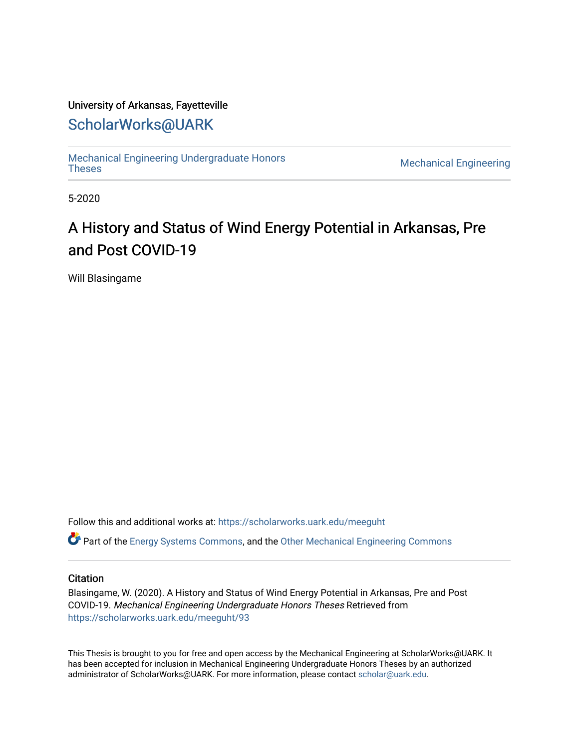### University of Arkansas, Fayetteville

## [ScholarWorks@UARK](https://scholarworks.uark.edu/)

[Mechanical Engineering Undergraduate Honors](https://scholarworks.uark.edu/meeguht)

**Mechanical Engineering** 

5-2020

# A History and Status of Wind Energy Potential in Arkansas, Pre and Post COVID-19

Will Blasingame

Follow this and additional works at: [https://scholarworks.uark.edu/meeguht](https://scholarworks.uark.edu/meeguht?utm_source=scholarworks.uark.edu%2Fmeeguht%2F93&utm_medium=PDF&utm_campaign=PDFCoverPages) 

Part of the [Energy Systems Commons,](http://network.bepress.com/hgg/discipline/299?utm_source=scholarworks.uark.edu%2Fmeeguht%2F93&utm_medium=PDF&utm_campaign=PDFCoverPages) and the [Other Mechanical Engineering Commons](http://network.bepress.com/hgg/discipline/304?utm_source=scholarworks.uark.edu%2Fmeeguht%2F93&utm_medium=PDF&utm_campaign=PDFCoverPages)

#### **Citation**

Blasingame, W. (2020). A History and Status of Wind Energy Potential in Arkansas, Pre and Post COVID-19. Mechanical Engineering Undergraduate Honors Theses Retrieved from [https://scholarworks.uark.edu/meeguht/93](https://scholarworks.uark.edu/meeguht/93?utm_source=scholarworks.uark.edu%2Fmeeguht%2F93&utm_medium=PDF&utm_campaign=PDFCoverPages) 

This Thesis is brought to you for free and open access by the Mechanical Engineering at ScholarWorks@UARK. It has been accepted for inclusion in Mechanical Engineering Undergraduate Honors Theses by an authorized administrator of ScholarWorks@UARK. For more information, please contact [scholar@uark.edu](mailto:scholar@uark.edu).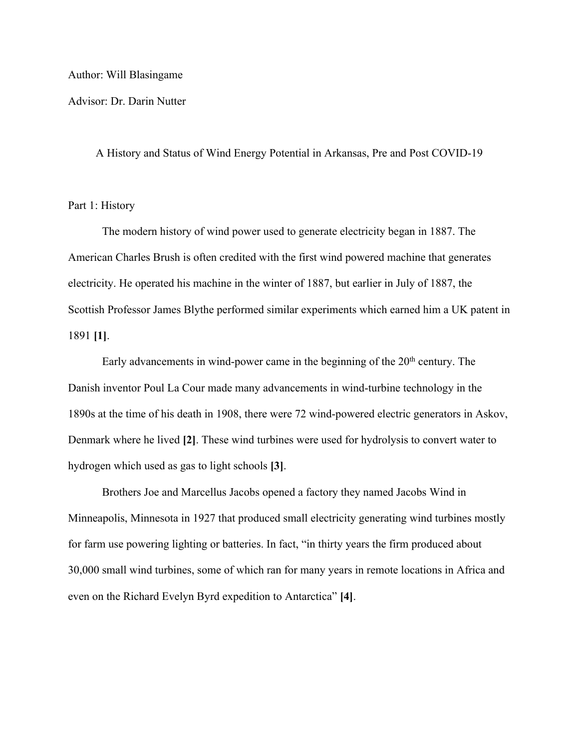#### Author: Will Blasingame

Advisor: Dr. Darin Nutter

A History and Status of Wind Energy Potential in Arkansas, Pre and Post COVID-19

Part 1: History

The modern history of wind power used to generate electricity began in 1887. The American Charles Brush is often credited with the first wind powered machine that generates electricity. He operated his machine in the winter of 1887, but earlier in July of 1887, the Scottish Professor James Blythe performed similar experiments which earned him a UK patent in 1891 **[1]**.

Early advancements in wind-power came in the beginning of the  $20<sup>th</sup>$  century. The Danish inventor Poul La Cour made many advancements in wind-turbine technology in the 1890s at the time of his death in 1908, there were 72 wind-powered electric generators in Askov, Denmark where he lived **[2]**. These wind turbines were used for hydrolysis to convert water to hydrogen which used as gas to light schools **[3]**.

Brothers Joe and Marcellus Jacobs opened a factory they named Jacobs Wind in Minneapolis, Minnesota in 1927 that produced small electricity generating wind turbines mostly for farm use powering lighting or batteries. In fact, "in thirty years the firm produced about 30,000 small wind turbines, some of which ran for many years in remote locations in Africa and even on the Richard Evelyn Byrd expedition to Antarctica" **[4]**.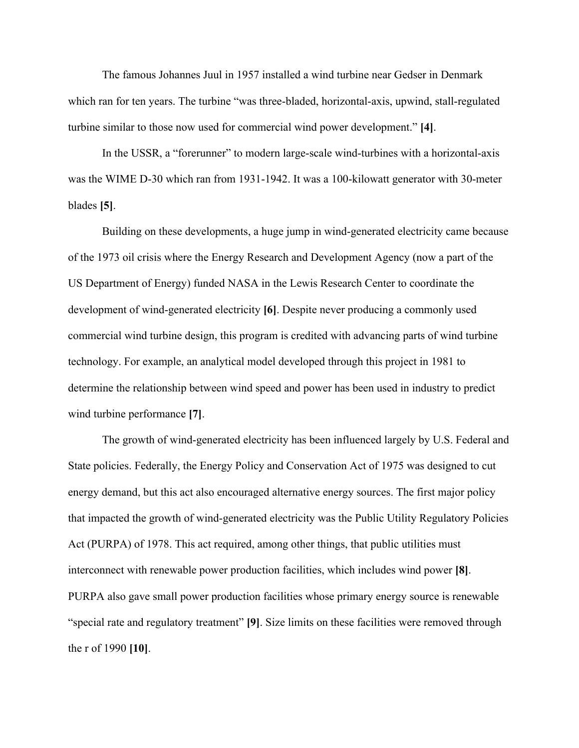The famous Johannes Juul in 1957 installed a wind turbine near Gedser in Denmark which ran for ten years. The turbine "was three-bladed, horizontal-axis, upwind, stall-regulated turbine similar to those now used for commercial wind power development." **[4]**.

In the USSR, a "forerunner" to modern large-scale wind-turbines with a horizontal-axis was the WIME D-30 which ran from 1931-1942. It was a 100-kilowatt generator with 30-meter blades **[5]**.

Building on these developments, a huge jump in wind-generated electricity came because of the 1973 oil crisis where the Energy Research and Development Agency (now a part of the US Department of Energy) funded NASA in the Lewis Research Center to coordinate the development of wind-generated electricity **[6]**. Despite never producing a commonly used commercial wind turbine design, this program is credited with advancing parts of wind turbine technology. For example, an analytical model developed through this project in 1981 to determine the relationship between wind speed and power has been used in industry to predict wind turbine performance **[7]**.

The growth of wind-generated electricity has been influenced largely by U.S. Federal and State policies. Federally, the Energy Policy and Conservation Act of 1975 was designed to cut energy demand, but this act also encouraged alternative energy sources. The first major policy that impacted the growth of wind-generated electricity was the Public Utility Regulatory Policies Act (PURPA) of 1978. This act required, among other things, that public utilities must interconnect with renewable power production facilities, which includes wind power **[8]**. PURPA also gave small power production facilities whose primary energy source is renewable "special rate and regulatory treatment" **[9]**. Size limits on these facilities were removed through the r of 1990 **[10]**.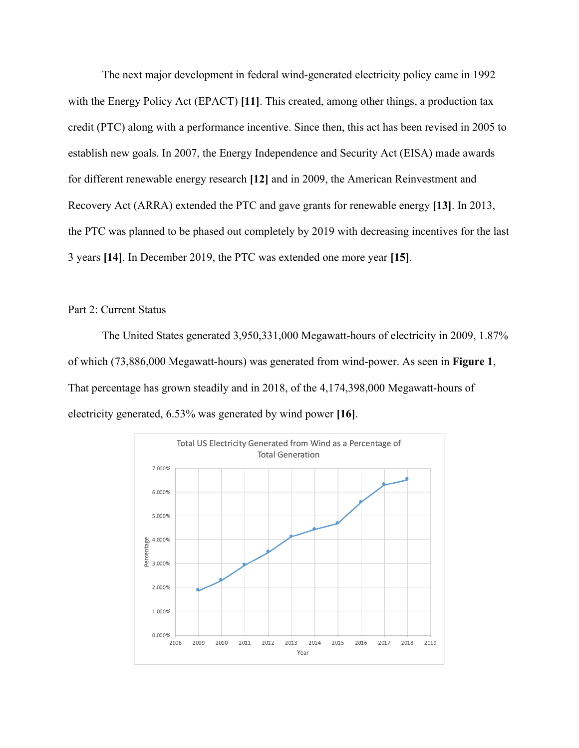The next major development in federal wind-generated electricity policy came in 1992 with the Energy Policy Act (EPACT) **[11]**. This created, among other things, a production tax credit (PTC) along with a performance incentive. Since then, this act has been revised in 2005 to establish new goals. In 2007, the Energy Independence and Security Act (EISA) made awards for different renewable energy research **[12]** and in 2009, the American Reinvestment and Recovery Act (ARRA) extended the PTC and gave grants for renewable energy **[13]**. In 2013, the PTC was planned to be phased out completely by 2019 with decreasing incentives for the last 3 years **[14]**. In December 2019, the PTC was extended one more year **[15]**.

Part 2: Current Status

The United States generated 3,950,331,000 Megawatt-hours of electricity in 2009, 1.87% of which (73,886,000 Megawatt-hours) was generated from wind-power. As seen in **Figure 1**, That percentage has grown steadily and in 2018, of the 4,174,398,000 Megawatt-hours of electricity generated, 6.53% was generated by wind power **[16]**.

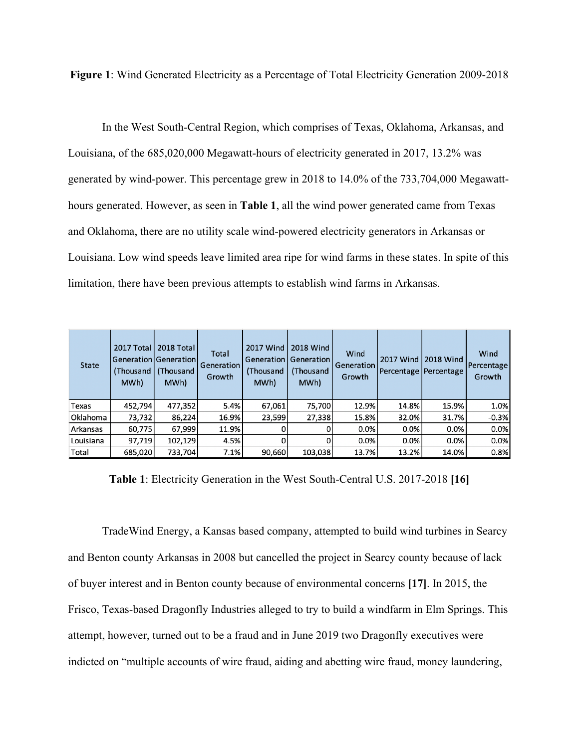**Figure 1**: Wind Generated Electricity as a Percentage of Total Electricity Generation 2009-2018

In the West South-Central Region, which comprises of Texas, Oklahoma, Arkansas, and Louisiana, of the 685,020,000 Megawatt-hours of electricity generated in 2017, 13.2% was generated by wind-power. This percentage grew in 2018 to 14.0% of the 733,704,000 Megawatthours generated. However, as seen in **Table 1**, all the wind power generated came from Texas and Oklahoma, there are no utility scale wind-powered electricity generators in Arkansas or Louisiana. Low wind speeds leave limited area ripe for wind farms in these states. In spite of this limitation, there have been previous attempts to establish wind farms in Arkansas.

| <b>State</b> | <b>2017 Total</b><br>MWh) | 2018 Total<br> Generation Generation <br>(Thousand   (Thousand<br>MWh) | Total<br>Generation<br>Growth | <b>2017 Wind</b><br>(Thousand<br>MWh) | <b>2018 Wind</b><br><b>Generation   Generation  </b><br>(Thousand<br>MWh) | Wind<br>Generation<br>Growth | 2017 Wind | <b>2018 Wind</b><br>Percentage   Percentage | Wind<br>Percentage<br>Growth |
|--------------|---------------------------|------------------------------------------------------------------------|-------------------------------|---------------------------------------|---------------------------------------------------------------------------|------------------------------|-----------|---------------------------------------------|------------------------------|
| Texas        | 452,794                   | 477,352                                                                | 5.4%                          | 67,061                                | 75,700                                                                    | 12.9%                        | 14.8%     | 15.9%                                       | 1.0%                         |
| Oklahoma     | 73,732                    | 86,224                                                                 | 16.9%                         | 23,599                                | 27,338                                                                    | 15.8%                        | 32.0%     | 31.7%                                       | $-0.3%$                      |
| Arkansas     | 60,775                    | 67,999                                                                 | 11.9%                         | 0                                     |                                                                           | 0.0%                         | 0.0%      | 0.0%                                        | 0.0%                         |
| Louisiana    | 97.719                    | 102.129                                                                | 4.5%                          | 0                                     | 0                                                                         | 0.0%                         | 0.0%      | 0.0%                                        | 0.0%                         |
| Total        | 685,020                   | 733,704                                                                | 7.1%                          | 90,660                                | 103,038                                                                   | 13.7%                        | 13.2%     | 14.0%                                       | 0.8%                         |

**Table 1**: Electricity Generation in the West South-Central U.S. 2017-2018 **[16]**

TradeWind Energy, a Kansas based company, attempted to build wind turbines in Searcy and Benton county Arkansas in 2008 but cancelled the project in Searcy county because of lack of buyer interest and in Benton county because of environmental concerns **[17]**. In 2015, the Frisco, Texas-based Dragonfly Industries alleged to try to build a windfarm in Elm Springs. This attempt, however, turned out to be a fraud and in June 2019 two Dragonfly executives were indicted on "multiple accounts of wire fraud, aiding and abetting wire fraud, money laundering,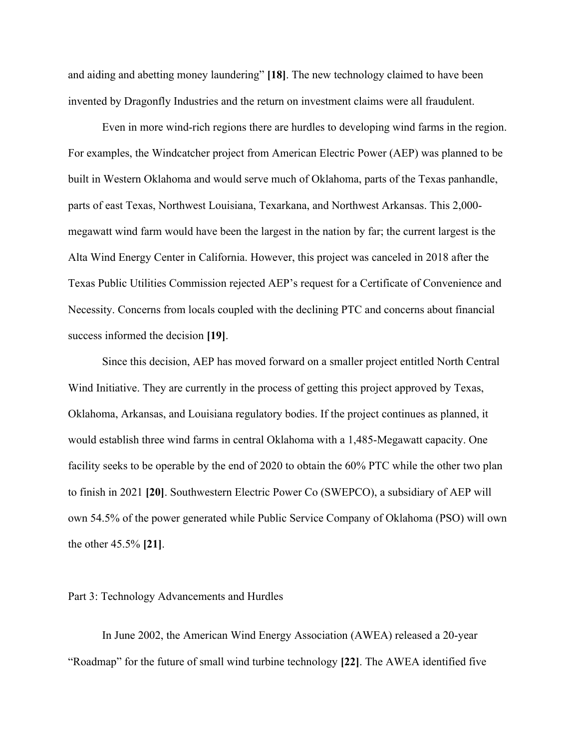and aiding and abetting money laundering" **[18]**. The new technology claimed to have been invented by Dragonfly Industries and the return on investment claims were all fraudulent.

Even in more wind-rich regions there are hurdles to developing wind farms in the region. For examples, the Windcatcher project from American Electric Power (AEP) was planned to be built in Western Oklahoma and would serve much of Oklahoma, parts of the Texas panhandle, parts of east Texas, Northwest Louisiana, Texarkana, and Northwest Arkansas. This 2,000 megawatt wind farm would have been the largest in the nation by far; the current largest is the Alta Wind Energy Center in California. However, this project was canceled in 2018 after the Texas Public Utilities Commission rejected AEP's request for a Certificate of Convenience and Necessity. Concerns from locals coupled with the declining PTC and concerns about financial success informed the decision **[19]**.

Since this decision, AEP has moved forward on a smaller project entitled North Central Wind Initiative. They are currently in the process of getting this project approved by Texas, Oklahoma, Arkansas, and Louisiana regulatory bodies. If the project continues as planned, it would establish three wind farms in central Oklahoma with a 1,485-Megawatt capacity. One facility seeks to be operable by the end of 2020 to obtain the 60% PTC while the other two plan to finish in 2021 **[20]**. Southwestern Electric Power Co (SWEPCO), a subsidiary of AEP will own 54.5% of the power generated while Public Service Company of Oklahoma (PSO) will own the other 45.5% **[21]**.

#### Part 3: Technology Advancements and Hurdles

In June 2002, the American Wind Energy Association (AWEA) released a 20-year "Roadmap" for the future of small wind turbine technology **[22]**. The AWEA identified five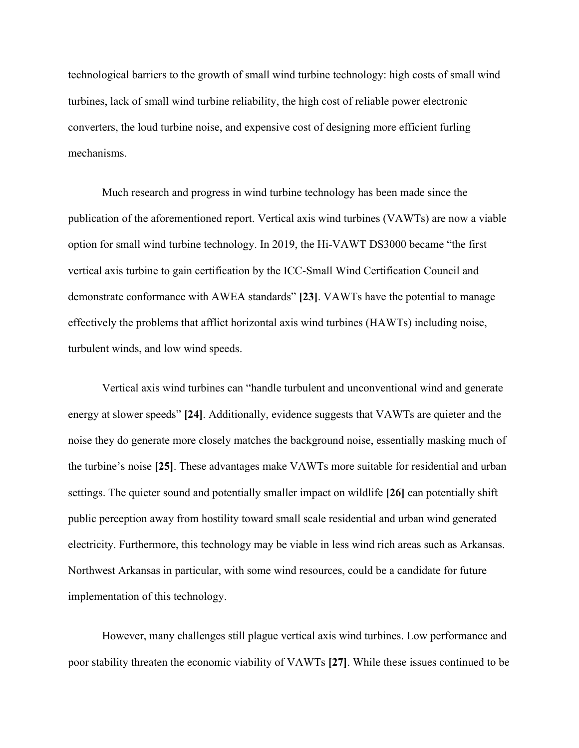technological barriers to the growth of small wind turbine technology: high costs of small wind turbines, lack of small wind turbine reliability, the high cost of reliable power electronic converters, the loud turbine noise, and expensive cost of designing more efficient furling mechanisms.

Much research and progress in wind turbine technology has been made since the publication of the aforementioned report. Vertical axis wind turbines (VAWTs) are now a viable option for small wind turbine technology. In 2019, the Hi-VAWT DS3000 became "the first vertical axis turbine to gain certification by the ICC-Small Wind Certification Council and demonstrate conformance with AWEA standards" **[23]**. VAWTs have the potential to manage effectively the problems that afflict horizontal axis wind turbines (HAWTs) including noise, turbulent winds, and low wind speeds.

Vertical axis wind turbines can "handle turbulent and unconventional wind and generate energy at slower speeds" **[24]**. Additionally, evidence suggests that VAWTs are quieter and the noise they do generate more closely matches the background noise, essentially masking much of the turbine's noise **[25]**. These advantages make VAWTs more suitable for residential and urban settings. The quieter sound and potentially smaller impact on wildlife **[26]** can potentially shift public perception away from hostility toward small scale residential and urban wind generated electricity. Furthermore, this technology may be viable in less wind rich areas such as Arkansas. Northwest Arkansas in particular, with some wind resources, could be a candidate for future implementation of this technology.

However, many challenges still plague vertical axis wind turbines. Low performance and poor stability threaten the economic viability of VAWTs **[27]**. While these issues continued to be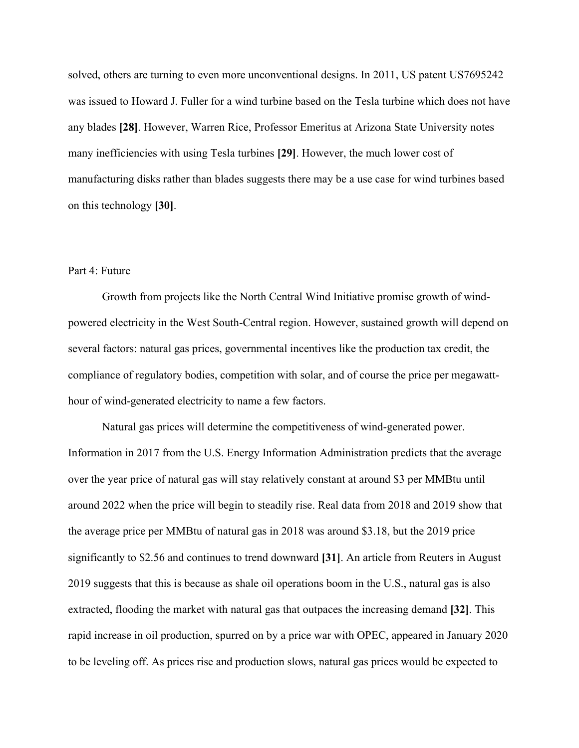solved, others are turning to even more unconventional designs. In 2011, US patent US7695242 was issued to Howard J. Fuller for a wind turbine based on the Tesla turbine which does not have any blades **[28]**. However, Warren Rice, Professor Emeritus at Arizona State University notes many inefficiencies with using Tesla turbines **[29]**. However, the much lower cost of manufacturing disks rather than blades suggests there may be a use case for wind turbines based on this technology **[30]**.

#### Part 4: Future

Growth from projects like the North Central Wind Initiative promise growth of windpowered electricity in the West South-Central region. However, sustained growth will depend on several factors: natural gas prices, governmental incentives like the production tax credit, the compliance of regulatory bodies, competition with solar, and of course the price per megawatthour of wind-generated electricity to name a few factors.

Natural gas prices will determine the competitiveness of wind-generated power. Information in 2017 from the U.S. Energy Information Administration predicts that the average over the year price of natural gas will stay relatively constant at around \$3 per MMBtu until around 2022 when the price will begin to steadily rise. Real data from 2018 and 2019 show that the average price per MMBtu of natural gas in 2018 was around \$3.18, but the 2019 price significantly to \$2.56 and continues to trend downward **[31]**. An article from Reuters in August 2019 suggests that this is because as shale oil operations boom in the U.S., natural gas is also extracted, flooding the market with natural gas that outpaces the increasing demand **[32]**. This rapid increase in oil production, spurred on by a price war with OPEC, appeared in January 2020 to be leveling off. As prices rise and production slows, natural gas prices would be expected to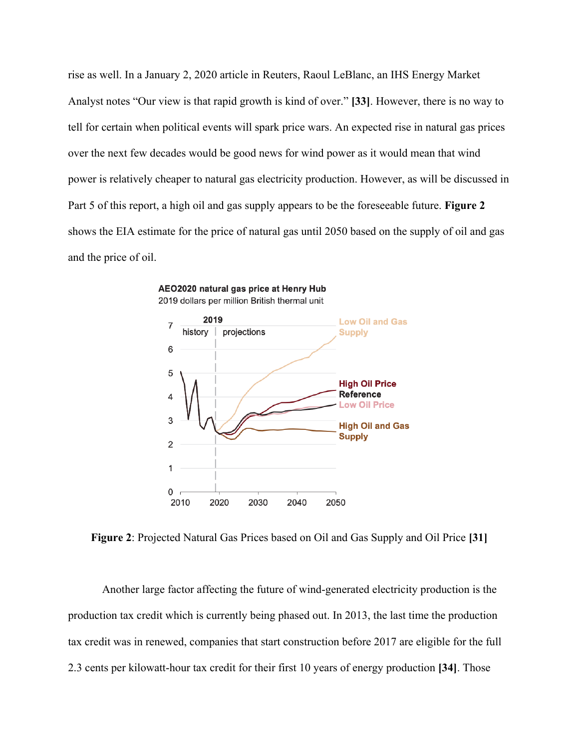rise as well. In a January 2, 2020 article in Reuters, Raoul LeBlanc, an IHS Energy Market Analyst notes "Our view is that rapid growth is kind of over." **[33]**. However, there is no way to tell for certain when political events will spark price wars. An expected rise in natural gas prices over the next few decades would be good news for wind power as it would mean that wind power is relatively cheaper to natural gas electricity production. However, as will be discussed in Part 5 of this report, a high oil and gas supply appears to be the foreseeable future. **Figure 2** shows the EIA estimate for the price of natural gas until 2050 based on the supply of oil and gas and the price of oil.



AEO2020 natural gas price at Henry Hub 2019 dollars per million British thermal unit

**Figure 2**: Projected Natural Gas Prices based on Oil and Gas Supply and Oil Price **[31]**

Another large factor affecting the future of wind-generated electricity production is the production tax credit which is currently being phased out. In 2013, the last time the production tax credit was in renewed, companies that start construction before 2017 are eligible for the full 2.3 cents per kilowatt-hour tax credit for their first 10 years of energy production **[34]**. Those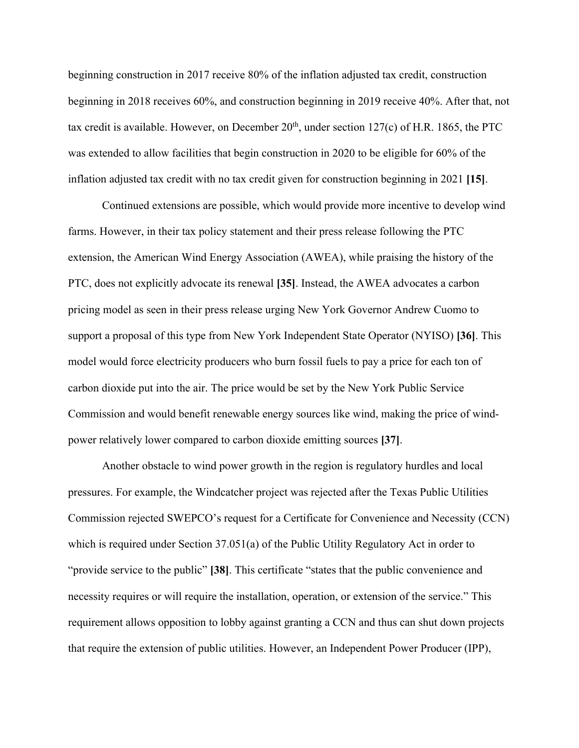beginning construction in 2017 receive 80% of the inflation adjusted tax credit, construction beginning in 2018 receives 60%, and construction beginning in 2019 receive 40%. After that, not tax credit is available. However, on December  $20<sup>th</sup>$ , under section 127(c) of H.R. 1865, the PTC was extended to allow facilities that begin construction in 2020 to be eligible for 60% of the inflation adjusted tax credit with no tax credit given for construction beginning in 2021 **[15]**.

Continued extensions are possible, which would provide more incentive to develop wind farms. However, in their tax policy statement and their press release following the PTC extension, the American Wind Energy Association (AWEA), while praising the history of the PTC, does not explicitly advocate its renewal **[35]**. Instead, the AWEA advocates a carbon pricing model as seen in their press release urging New York Governor Andrew Cuomo to support a proposal of this type from New York Independent State Operator (NYISO) **[36]**. This model would force electricity producers who burn fossil fuels to pay a price for each ton of carbon dioxide put into the air. The price would be set by the New York Public Service Commission and would benefit renewable energy sources like wind, making the price of windpower relatively lower compared to carbon dioxide emitting sources **[37]**.

Another obstacle to wind power growth in the region is regulatory hurdles and local pressures. For example, the Windcatcher project was rejected after the Texas Public Utilities Commission rejected SWEPCO's request for a Certificate for Convenience and Necessity (CCN) which is required under Section 37.051(a) of the Public Utility Regulatory Act in order to "provide service to the public" **[38]**. This certificate "states that the public convenience and necessity requires or will require the installation, operation, or extension of the service." This requirement allows opposition to lobby against granting a CCN and thus can shut down projects that require the extension of public utilities. However, an Independent Power Producer (IPP),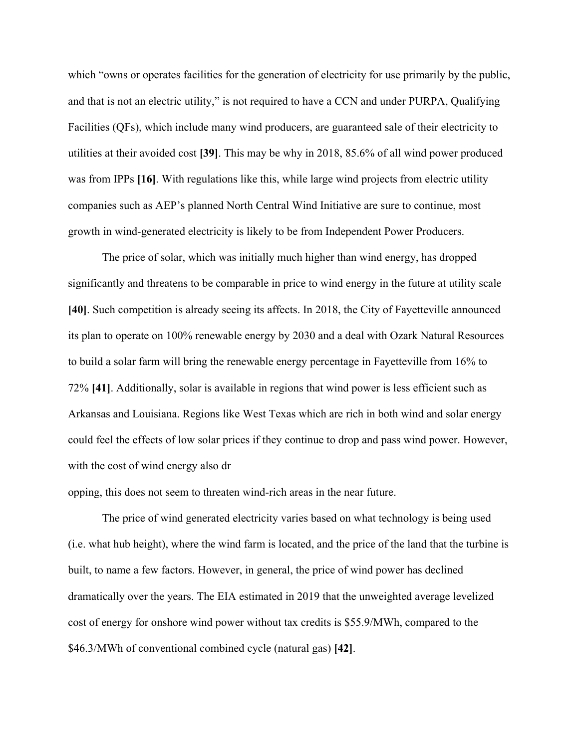which "owns or operates facilities for the generation of electricity for use primarily by the public, and that is not an electric utility," is not required to have a CCN and under PURPA, Qualifying Facilities (QFs), which include many wind producers, are guaranteed sale of their electricity to utilities at their avoided cost **[39]**. This may be why in 2018, 85.6% of all wind power produced was from IPPs [16]. With regulations like this, while large wind projects from electric utility companies such as AEP's planned North Central Wind Initiative are sure to continue, most growth in wind-generated electricity is likely to be from Independent Power Producers.

The price of solar, which was initially much higher than wind energy, has dropped significantly and threatens to be comparable in price to wind energy in the future at utility scale **[40]**. Such competition is already seeing its affects. In 2018, the City of Fayetteville announced its plan to operate on 100% renewable energy by 2030 and a deal with Ozark Natural Resources to build a solar farm will bring the renewable energy percentage in Fayetteville from 16% to 72% **[41]**. Additionally, solar is available in regions that wind power is less efficient such as Arkansas and Louisiana. Regions like West Texas which are rich in both wind and solar energy could feel the effects of low solar prices if they continue to drop and pass wind power. However, with the cost of wind energy also dr

opping, this does not seem to threaten wind-rich areas in the near future.

The price of wind generated electricity varies based on what technology is being used (i.e. what hub height), where the wind farm is located, and the price of the land that the turbine is built, to name a few factors. However, in general, the price of wind power has declined dramatically over the years. The EIA estimated in 2019 that the unweighted average levelized cost of energy for onshore wind power without tax credits is \$55.9/MWh, compared to the \$46.3/MWh of conventional combined cycle (natural gas) **[42]**.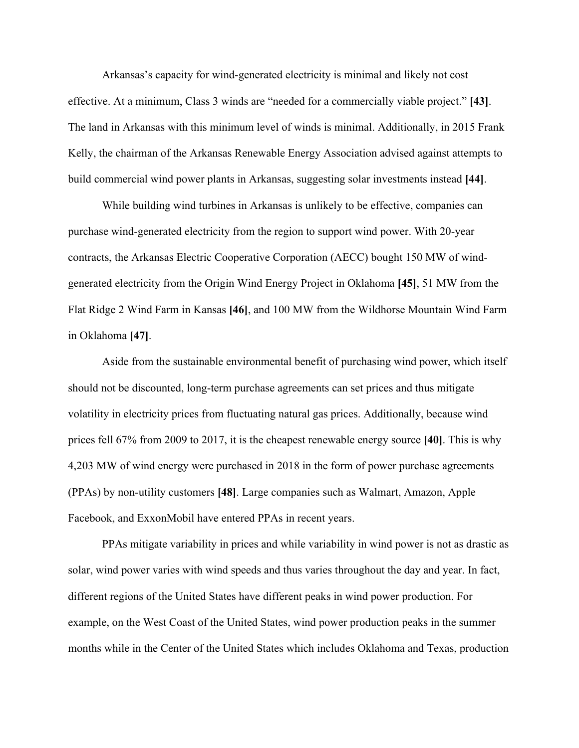Arkansas's capacity for wind-generated electricity is minimal and likely not cost effective. At a minimum, Class 3 winds are "needed for a commercially viable project." **[43]**. The land in Arkansas with this minimum level of winds is minimal. Additionally, in 2015 Frank Kelly, the chairman of the Arkansas Renewable Energy Association advised against attempts to build commercial wind power plants in Arkansas, suggesting solar investments instead **[44]**.

While building wind turbines in Arkansas is unlikely to be effective, companies can purchase wind-generated electricity from the region to support wind power. With 20-year contracts, the Arkansas Electric Cooperative Corporation (AECC) bought 150 MW of windgenerated electricity from the Origin Wind Energy Project in Oklahoma **[45]**, 51 MW from the Flat Ridge 2 Wind Farm in Kansas **[46]**, and 100 MW from the Wildhorse Mountain Wind Farm in Oklahoma **[47]**.

Aside from the sustainable environmental benefit of purchasing wind power, which itself should not be discounted, long-term purchase agreements can set prices and thus mitigate volatility in electricity prices from fluctuating natural gas prices. Additionally, because wind prices fell 67% from 2009 to 2017, it is the cheapest renewable energy source **[40]**. This is why 4,203 MW of wind energy were purchased in 2018 in the form of power purchase agreements (PPAs) by non-utility customers **[48]**. Large companies such as Walmart, Amazon, Apple Facebook, and ExxonMobil have entered PPAs in recent years.

PPAs mitigate variability in prices and while variability in wind power is not as drastic as solar, wind power varies with wind speeds and thus varies throughout the day and year. In fact, different regions of the United States have different peaks in wind power production. For example, on the West Coast of the United States, wind power production peaks in the summer months while in the Center of the United States which includes Oklahoma and Texas, production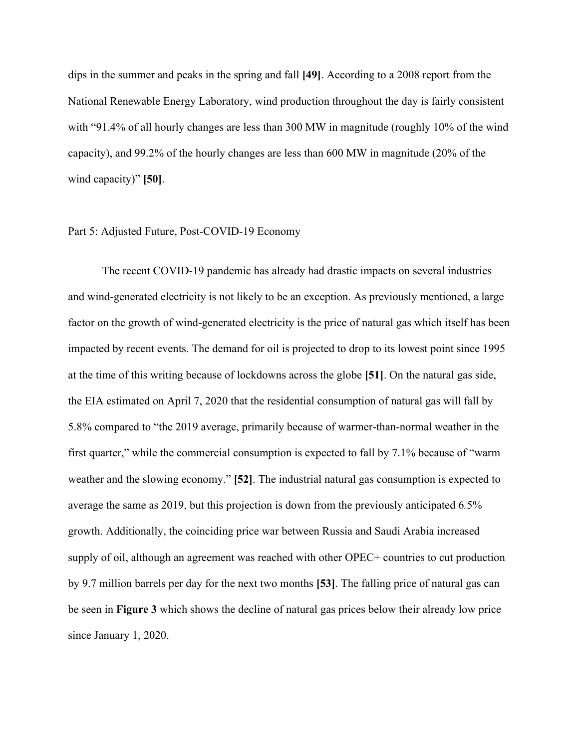dips in the summer and peaks in the spring and fall **[49]**. According to a 2008 report from the National Renewable Energy Laboratory, wind production throughout the day is fairly consistent with "91.4% of all hourly changes are less than 300 MW in magnitude (roughly 10% of the wind capacity), and 99.2% of the hourly changes are less than 600 MW in magnitude (20% of the wind capacity)" **[50]**.

#### Part 5: Adjusted Future, Post-COVID-19 Economy

The recent COVID-19 pandemic has already had drastic impacts on several industries and wind-generated electricity is not likely to be an exception. As previously mentioned, a large factor on the growth of wind-generated electricity is the price of natural gas which itself has been impacted by recent events. The demand for oil is projected to drop to its lowest point since 1995 at the time of this writing because of lockdowns across the globe **[51]**. On the natural gas side, the EIA estimated on April 7, 2020 that the residential consumption of natural gas will fall by 5.8% compared to "the 2019 average, primarily because of warmer-than-normal weather in the first quarter," while the commercial consumption is expected to fall by 7.1% because of "warm weather and the slowing economy." **[52]**. The industrial natural gas consumption is expected to average the same as 2019, but this projection is down from the previously anticipated 6*.*5% growth. Additionally, the coinciding price war between Russia and Saudi Arabia increased supply of oil, although an agreement was reached with other OPEC+ countries to cut production by 9.7 million barrels per day for the next two months **[53]**. The falling price of natural gas can be seen in **Figure 3** which shows the decline of natural gas prices below their already low price since January 1, 2020.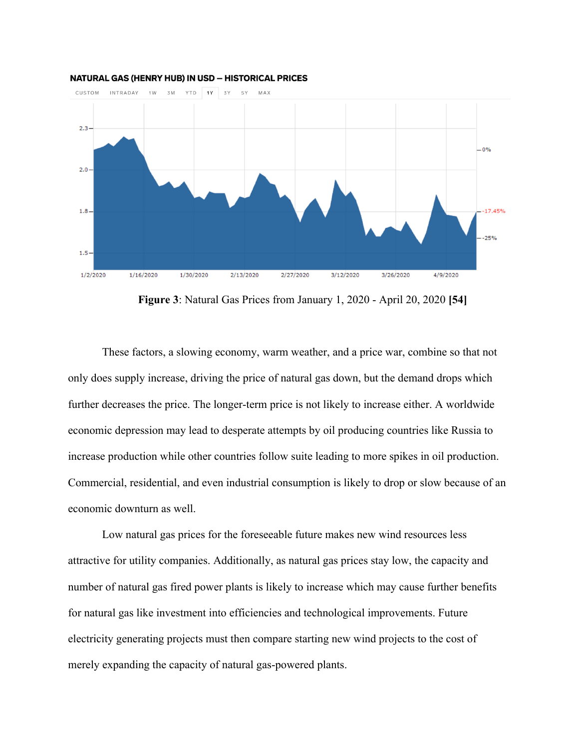

#### **NATURAL GAS (HENRY HUB) IN USD - HISTORICAL PRICES**

**Figure 3**: Natural Gas Prices from January 1, 2020 - April 20, 2020 **[54]**

These factors, a slowing economy, warm weather, and a price war, combine so that not only does supply increase, driving the price of natural gas down, but the demand drops which further decreases the price. The longer-term price is not likely to increase either. A worldwide economic depression may lead to desperate attempts by oil producing countries like Russia to increase production while other countries follow suite leading to more spikes in oil production. Commercial, residential, and even industrial consumption is likely to drop or slow because of an economic downturn as well.

Low natural gas prices for the foreseeable future makes new wind resources less attractive for utility companies. Additionally, as natural gas prices stay low, the capacity and number of natural gas fired power plants is likely to increase which may cause further benefits for natural gas like investment into efficiencies and technological improvements. Future electricity generating projects must then compare starting new wind projects to the cost of merely expanding the capacity of natural gas-powered plants.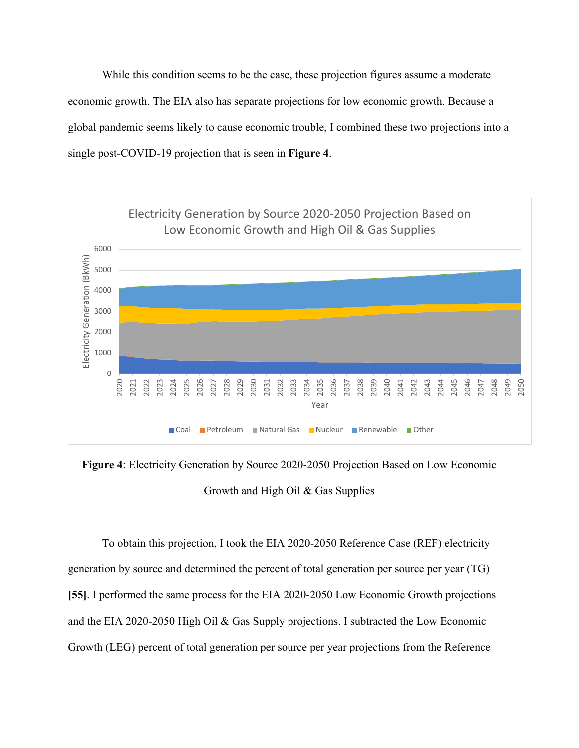While this condition seems to be the case, these projection figures assume a moderate economic growth. The EIA also has separate projections for low economic growth. Because a global pandemic seems likely to cause economic trouble, I combined these two projections into a single post-COVID-19 projection that is seen in **Figure 4**.



**Figure 4**: Electricity Generation by Source 2020-2050 Projection Based on Low Economic Growth and High Oil & Gas Supplies

To obtain this projection, I took the EIA 2020-2050 Reference Case (REF) electricity generation by source and determined the percent of total generation per source per year (TG) **[55]**. I performed the same process for the EIA 2020-2050 Low Economic Growth projections and the EIA 2020-2050 High Oil & Gas Supply projections. I subtracted the Low Economic Growth (LEG) percent of total generation per source per year projections from the Reference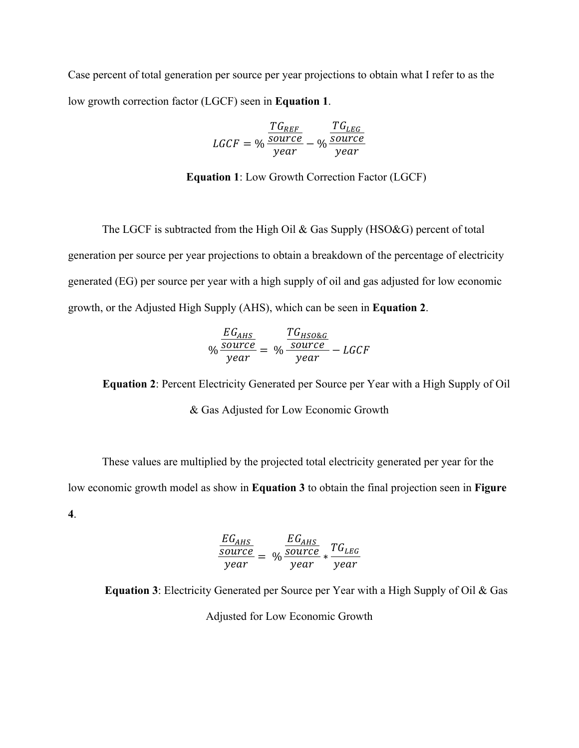Case percent of total generation per source per year projections to obtain what I refer to as the low growth correction factor (LGCF) seen in **Equation 1**.

$$
LGCF = \% \frac{\frac{TG_{REF}}{source}}{year} - \% \frac{\frac{TG_{LEG}}{source}}{year}
$$

**Equation 1**: Low Growth Correction Factor (LGCF)

The LGCF is subtracted from the High Oil & Gas Supply (HSO&G) percent of total generation per source per year projections to obtain a breakdown of the percentage of electricity generated (EG) per source per year with a high supply of oil and gas adjusted for low economic growth, or the Adjusted High Supply (AHS), which can be seen in **Equation 2**.

$$
\% \frac{EG_{AHS}}{year} = \% \frac{TG_{HSO\&G}}{year} - LGCF
$$

**Equation 2**: Percent Electricity Generated per Source per Year with a High Supply of Oil & Gas Adjusted for Low Economic Growth

These values are multiplied by the projected total electricity generated per year for the low economic growth model as show in **Equation 3** to obtain the final projection seen in **Figure 4**.

$$
\frac{EG_{AHS}}{source} = \% \frac{EG_{AHS}}{source} \times \frac{TG_{LEG}}{year}
$$

**Equation 3**: Electricity Generated per Source per Year with a High Supply of Oil & Gas Adjusted for Low Economic Growth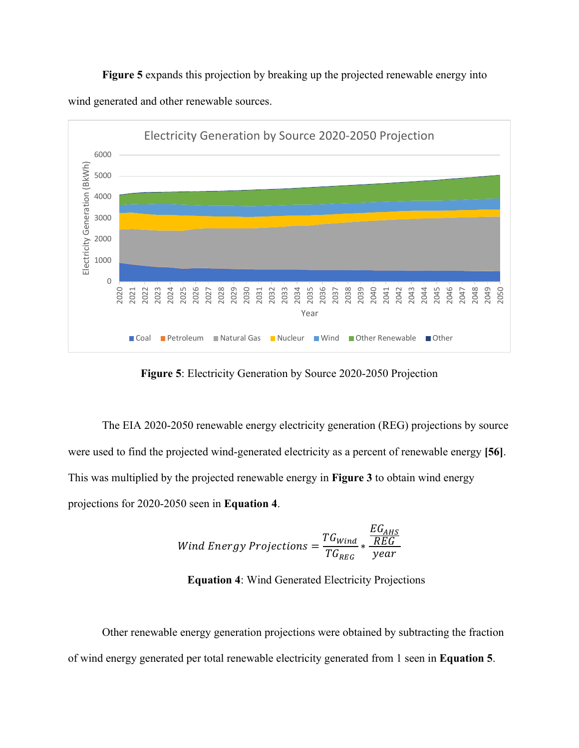**Figure 5** expands this projection by breaking up the projected renewable energy into wind generated and other renewable sources.



**Figure 5**: Electricity Generation by Source 2020-2050 Projection

The EIA 2020-2050 renewable energy electricity generation (REG) projections by source were used to find the projected wind-generated electricity as a percent of renewable energy **[56]**. This was multiplied by the projected renewable energy in **Figure 3** to obtain wind energy projections for 2020-2050 seen in **Equation 4**.

$$
Wind \ Energy \, Projections = \frac{TG_{Wind}}{TG_{REG}} * \frac{EG_{AHS}}{year}
$$

**Equation 4**: Wind Generated Electricity Projections

Other renewable energy generation projections were obtained by subtracting the fraction of wind energy generated per total renewable electricity generated from 1 seen in **Equation 5**.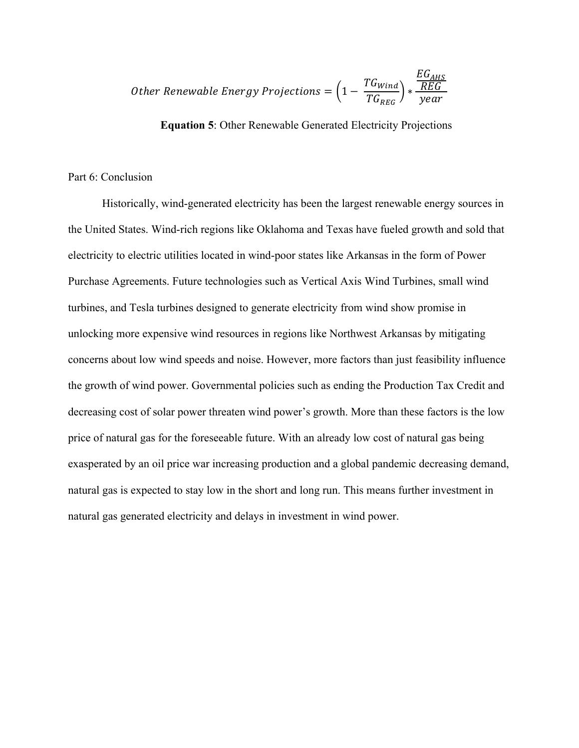Other Renewable Energy Projections = 
$$
\left(1 - \frac{TG_{Wind}}{TG_{REG}}\right) * \frac{EG_{AHS}}{year}
$$

**Equation 5**: Other Renewable Generated Electricity Projections

#### Part 6: Conclusion

Historically, wind-generated electricity has been the largest renewable energy sources in the United States. Wind-rich regions like Oklahoma and Texas have fueled growth and sold that electricity to electric utilities located in wind-poor states like Arkansas in the form of Power Purchase Agreements. Future technologies such as Vertical Axis Wind Turbines, small wind turbines, and Tesla turbines designed to generate electricity from wind show promise in unlocking more expensive wind resources in regions like Northwest Arkansas by mitigating concerns about low wind speeds and noise. However, more factors than just feasibility influence the growth of wind power. Governmental policies such as ending the Production Tax Credit and decreasing cost of solar power threaten wind power's growth. More than these factors is the low price of natural gas for the foreseeable future. With an already low cost of natural gas being exasperated by an oil price war increasing production and a global pandemic decreasing demand, natural gas is expected to stay low in the short and long run. This means further investment in natural gas generated electricity and delays in investment in wind power.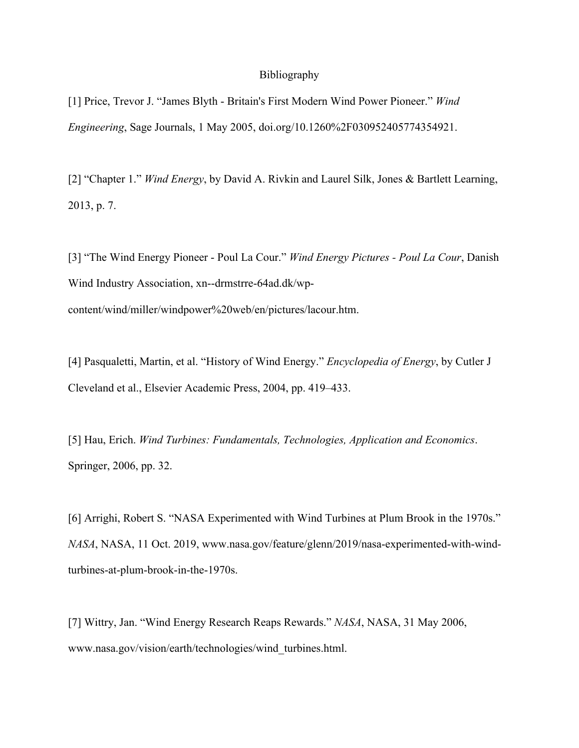#### Bibliography

[1] Price, Trevor J. "James Blyth - Britain's First Modern Wind Power Pioneer." *Wind Engineering*, Sage Journals, 1 May 2005, doi.org/10.1260%2F030952405774354921.

[2] "Chapter 1." *Wind Energy*, by David A. Rivkin and Laurel Silk, Jones & Bartlett Learning, 2013, p. 7.

[3] "The Wind Energy Pioneer - Poul La Cour." *Wind Energy Pictures - Poul La Cour*, Danish Wind Industry Association, xn--drmstrre-64ad.dk/wpcontent/wind/miller/windpower%20web/en/pictures/lacour.htm.

[4] Pasqualetti, Martin, et al. "History of Wind Energy." *Encyclopedia of Energy*, by Cutler J Cleveland et al., Elsevier Academic Press, 2004, pp. 419–433.

[5] Hau, Erich. *Wind Turbines: Fundamentals, Technologies, Application and Economics*. Springer, 2006, pp. 32.

[6] Arrighi, Robert S. "NASA Experimented with Wind Turbines at Plum Brook in the 1970s." *NASA*, NASA, 11 Oct. 2019, www.nasa.gov/feature/glenn/2019/nasa-experimented-with-windturbines-at-plum-brook-in-the-1970s.

[7] Wittry, Jan. "Wind Energy Research Reaps Rewards." *NASA*, NASA, 31 May 2006, www.nasa.gov/vision/earth/technologies/wind\_turbines.html.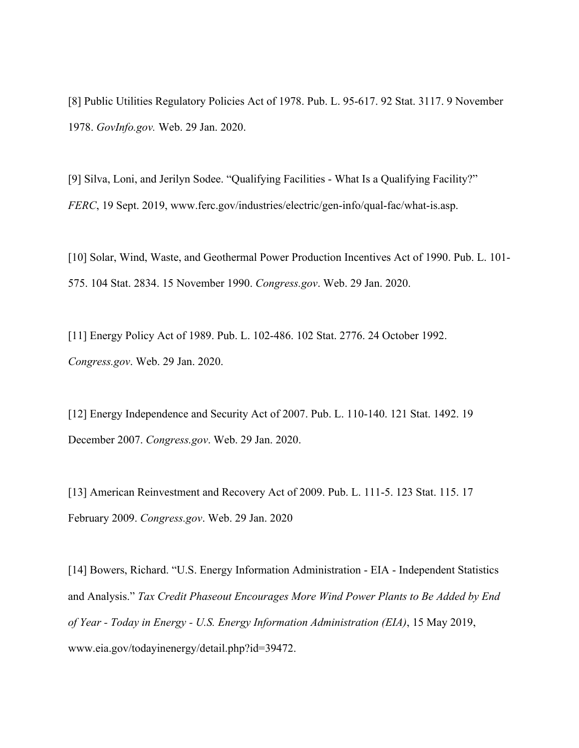[8] Public Utilities Regulatory Policies Act of 1978. Pub. L. 95-617. 92 Stat. 3117. 9 November 1978. *GovInfo.gov.* Web. 29 Jan. 2020.

[9] Silva, Loni, and Jerilyn Sodee. "Qualifying Facilities - What Is a Qualifying Facility?" *FERC*, 19 Sept. 2019, www.ferc.gov/industries/electric/gen-info/qual-fac/what-is.asp.

[10] Solar, Wind, Waste, and Geothermal Power Production Incentives Act of 1990. Pub. L. 101- 575. 104 Stat. 2834. 15 November 1990. *Congress.gov*. Web. 29 Jan. 2020.

[11] Energy Policy Act of 1989. Pub. L. 102-486. 102 Stat. 2776. 24 October 1992. *Congress.gov*. Web. 29 Jan. 2020.

[12] Energy Independence and Security Act of 2007. Pub. L. 110-140. 121 Stat. 1492. 19 December 2007. *Congress.gov*. Web. 29 Jan. 2020.

[13] American Reinvestment and Recovery Act of 2009. Pub. L. 111-5. 123 Stat. 115. 17 February 2009. *Congress.gov*. Web. 29 Jan. 2020

[14] Bowers, Richard. "U.S. Energy Information Administration - EIA - Independent Statistics and Analysis." *Tax Credit Phaseout Encourages More Wind Power Plants to Be Added by End of Year - Today in Energy - U.S. Energy Information Administration (EIA)*, 15 May 2019, www.eia.gov/todayinenergy/detail.php?id=39472.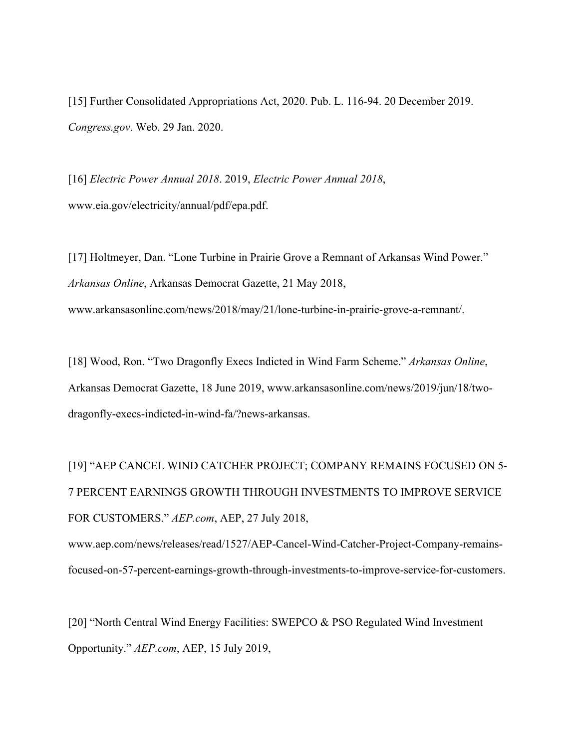[15] Further Consolidated Appropriations Act, 2020. Pub. L. 116-94. 20 December 2019. *Congress.gov*. Web. 29 Jan. 2020.

[16] *Electric Power Annual 2018*. 2019, *Electric Power Annual 2018*, www.eia.gov/electricity/annual/pdf/epa.pdf.

[17] Holtmeyer, Dan. "Lone Turbine in Prairie Grove a Remnant of Arkansas Wind Power." *Arkansas Online*, Arkansas Democrat Gazette, 21 May 2018, www.arkansasonline.com/news/2018/may/21/lone-turbine-in-prairie-grove-a-remnant/.

[18] Wood, Ron. "Two Dragonfly Execs Indicted in Wind Farm Scheme." *Arkansas Online*, Arkansas Democrat Gazette, 18 June 2019, www.arkansasonline.com/news/2019/jun/18/twodragonfly-execs-indicted-in-wind-fa/?news-arkansas.

[19] "AEP CANCEL WIND CATCHER PROJECT; COMPANY REMAINS FOCUSED ON 5- 7 PERCENT EARNINGS GROWTH THROUGH INVESTMENTS TO IMPROVE SERVICE FOR CUSTOMERS." *AEP.com*, AEP, 27 July 2018,

www.aep.com/news/releases/read/1527/AEP-Cancel-Wind-Catcher-Project-Company-remainsfocused-on-57-percent-earnings-growth-through-investments-to-improve-service-for-customers.

[20] "North Central Wind Energy Facilities: SWEPCO & PSO Regulated Wind Investment Opportunity." *AEP.com*, AEP, 15 July 2019,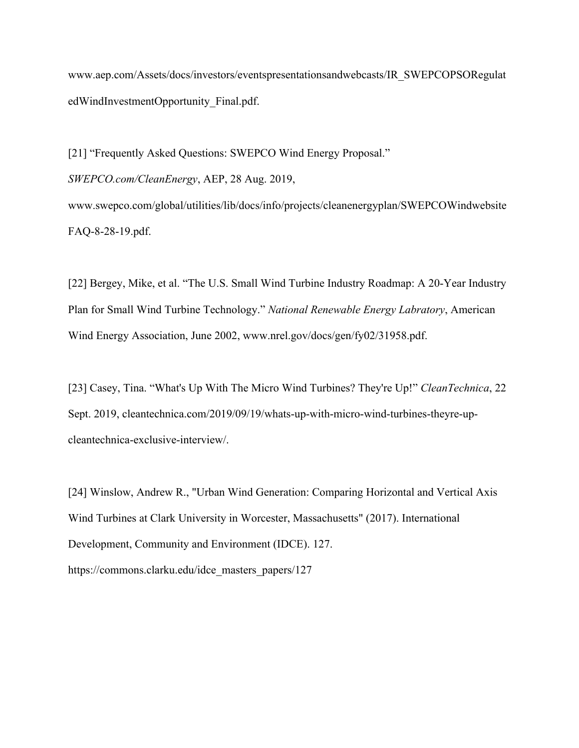www.aep.com/Assets/docs/investors/eventspresentationsandwebcasts/IR\_SWEPCOPSORegulat edWindInvestmentOpportunity\_Final.pdf.

[21] "Frequently Asked Questions: SWEPCO Wind Energy Proposal." *SWEPCO.com/CleanEnergy*, AEP, 28 Aug. 2019, www.swepco.com/global/utilities/lib/docs/info/projects/cleanenergyplan/SWEPCOWindwebsite FAQ-8-28-19.pdf.

[22] Bergey, Mike, et al. "The U.S. Small Wind Turbine Industry Roadmap: A 20-Year Industry Plan for Small Wind Turbine Technology." *National Renewable Energy Labratory*, American Wind Energy Association, June 2002, www.nrel.gov/docs/gen/fy02/31958.pdf.

[23] Casey, Tina. "What's Up With The Micro Wind Turbines? They're Up!" *CleanTechnica*, 22 Sept. 2019, cleantechnica.com/2019/09/19/whats-up-with-micro-wind-turbines-theyre-upcleantechnica-exclusive-interview/.

[24] Winslow, Andrew R., "Urban Wind Generation: Comparing Horizontal and Vertical Axis Wind Turbines at Clark University in Worcester, Massachusetts" (2017). International Development, Community and Environment (IDCE). 127. https://commons.clarku.edu/idce\_masters\_papers/127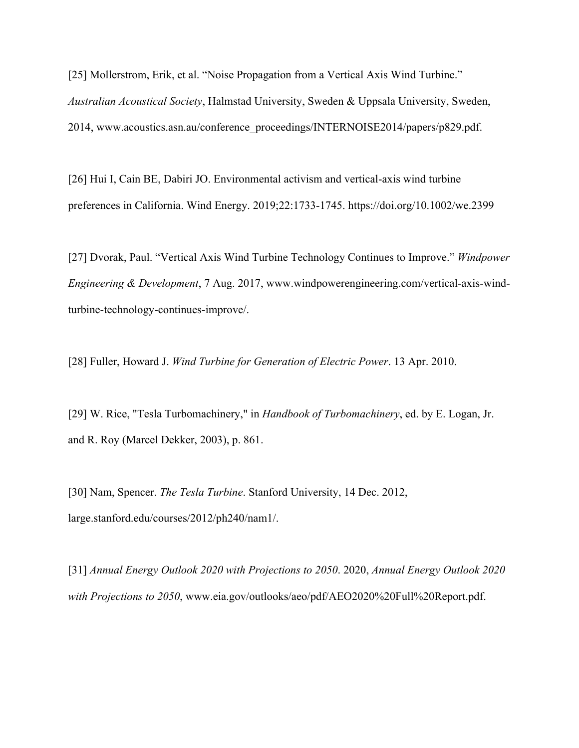[25] Mollerstrom, Erik, et al. "Noise Propagation from a Vertical Axis Wind Turbine." *Australian Acoustical Society*, Halmstad University, Sweden & Uppsala University, Sweden, 2014, www.acoustics.asn.au/conference\_proceedings/INTERNOISE2014/papers/p829.pdf.

[26] Hui I, Cain BE, Dabiri JO. Environmental activism and vertical‐axis wind turbine preferences in California. Wind Energy. 2019;22:1733-1745. https://doi.org/10.1002/we.2399

[27] Dvorak, Paul. "Vertical Axis Wind Turbine Technology Continues to Improve." *Windpower Engineering & Development*, 7 Aug. 2017, www.windpowerengineering.com/vertical-axis-windturbine-technology-continues-improve/.

[28] Fuller, Howard J. *Wind Turbine for Generation of Electric Power*. 13 Apr. 2010.

[29] W. Rice, "Tesla Turbomachinery," in *Handbook of Turbomachinery*, ed. by E. Logan, Jr. and R. Roy (Marcel Dekker, 2003), p. 861.

[30] Nam, Spencer. *The Tesla Turbine*. Stanford University, 14 Dec. 2012, large.stanford.edu/courses/2012/ph240/nam1/.

[31] *Annual Energy Outlook 2020 with Projections to 2050*. 2020, *Annual Energy Outlook 2020 with Projections to 2050*, www.eia.gov/outlooks/aeo/pdf/AEO2020%20Full%20Report.pdf.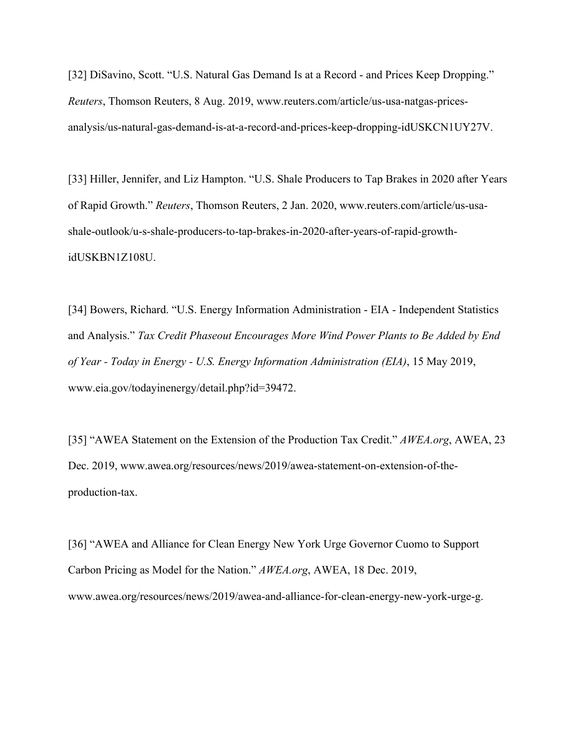[32] DiSavino, Scott. "U.S. Natural Gas Demand Is at a Record - and Prices Keep Dropping." *Reuters*, Thomson Reuters, 8 Aug. 2019, www.reuters.com/article/us-usa-natgas-pricesanalysis/us-natural-gas-demand-is-at-a-record-and-prices-keep-dropping-idUSKCN1UY27V.

[33] Hiller, Jennifer, and Liz Hampton. "U.S. Shale Producers to Tap Brakes in 2020 after Years of Rapid Growth." *Reuters*, Thomson Reuters, 2 Jan. 2020, www.reuters.com/article/us-usashale-outlook/u-s-shale-producers-to-tap-brakes-in-2020-after-years-of-rapid-growthidUSKBN1Z108U.

[34] Bowers, Richard. "U.S. Energy Information Administration - EIA - Independent Statistics and Analysis." *Tax Credit Phaseout Encourages More Wind Power Plants to Be Added by End of Year - Today in Energy - U.S. Energy Information Administration (EIA)*, 15 May 2019, www.eia.gov/todayinenergy/detail.php?id=39472.

[35] "AWEA Statement on the Extension of the Production Tax Credit." *AWEA.org*, AWEA, 23 Dec. 2019, www.awea.org/resources/news/2019/awea-statement-on-extension-of-theproduction-tax.

[36] "AWEA and Alliance for Clean Energy New York Urge Governor Cuomo to Support Carbon Pricing as Model for the Nation." *AWEA.org*, AWEA, 18 Dec. 2019, www.awea.org/resources/news/2019/awea-and-alliance-for-clean-energy-new-york-urge-g.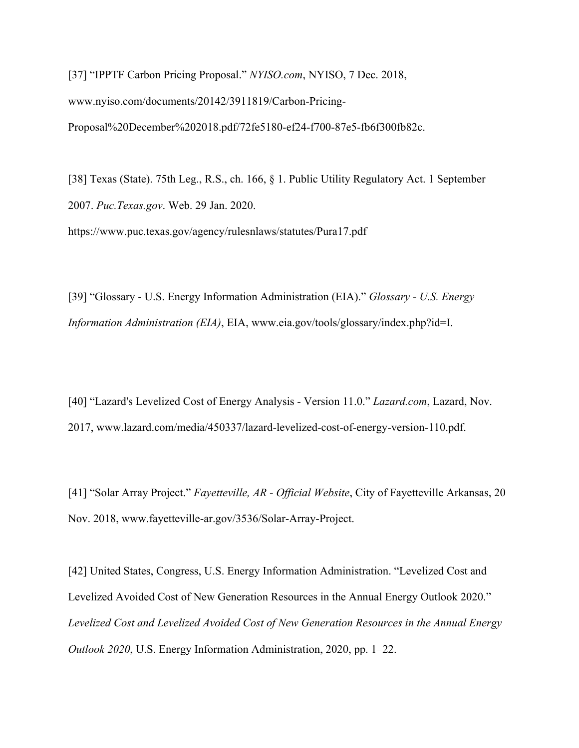[37] "IPPTF Carbon Pricing Proposal." *NYISO.com*, NYISO, 7 Dec. 2018, www.nyiso.com/documents/20142/3911819/Carbon-Pricing-Proposal%20December%202018.pdf/72fe5180-ef24-f700-87e5-fb6f300fb82c.

[38] Texas (State). 75th Leg., R.S., ch. 166, § 1. Public Utility Regulatory Act. 1 September 2007. *Puc.Texas.gov*. Web. 29 Jan. 2020. https://www.puc.texas.gov/agency/rulesnlaws/statutes/Pura17.pdf

[39] "Glossary - U.S. Energy Information Administration (EIA)." *Glossary - U.S. Energy Information Administration (EIA)*, EIA, www.eia.gov/tools/glossary/index.php?id=I.

[40] "Lazard's Levelized Cost of Energy Analysis - Version 11.0." *Lazard.com*, Lazard, Nov. 2017, www.lazard.com/media/450337/lazard-levelized-cost-of-energy-version-110.pdf.

[41] "Solar Array Project." *Fayetteville, AR - Official Website*, City of Fayetteville Arkansas, 20 Nov. 2018, www.fayetteville-ar.gov/3536/Solar-Array-Project.

[42] United States, Congress, U.S. Energy Information Administration. "Levelized Cost and Levelized Avoided Cost of New Generation Resources in the Annual Energy Outlook 2020." *Levelized Cost and Levelized Avoided Cost of New Generation Resources in the Annual Energy Outlook 2020*, U.S. Energy Information Administration, 2020, pp. 1–22.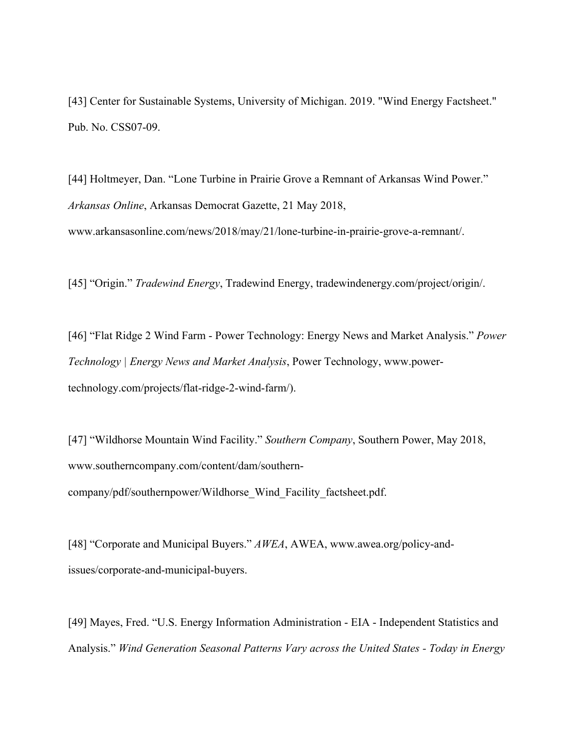[43] Center for Sustainable Systems, University of Michigan. 2019. "Wind Energy Factsheet." Pub. No. CSS07-09.

[44] Holtmeyer, Dan. "Lone Turbine in Prairie Grove a Remnant of Arkansas Wind Power." *Arkansas Online*, Arkansas Democrat Gazette, 21 May 2018, www.arkansasonline.com/news/2018/may/21/lone-turbine-in-prairie-grove-a-remnant/.

[45] "Origin." *Tradewind Energy*, Tradewind Energy, tradewindenergy.com/project/origin/.

[46] "Flat Ridge 2 Wind Farm - Power Technology: Energy News and Market Analysis." *Power Technology | Energy News and Market Analysis*, Power Technology, www.powertechnology.com/projects/flat-ridge-2-wind-farm/).

[47] "Wildhorse Mountain Wind Facility." *Southern Company*, Southern Power, May 2018, www.southerncompany.com/content/dam/southerncompany/pdf/southernpower/Wildhorse\_Wind\_Facility\_factsheet.pdf.

[48] "Corporate and Municipal Buyers." *AWEA*, AWEA, www.awea.org/policy-andissues/corporate-and-municipal-buyers.

[49] Mayes, Fred. "U.S. Energy Information Administration - EIA - Independent Statistics and Analysis." *Wind Generation Seasonal Patterns Vary across the United States - Today in Energy*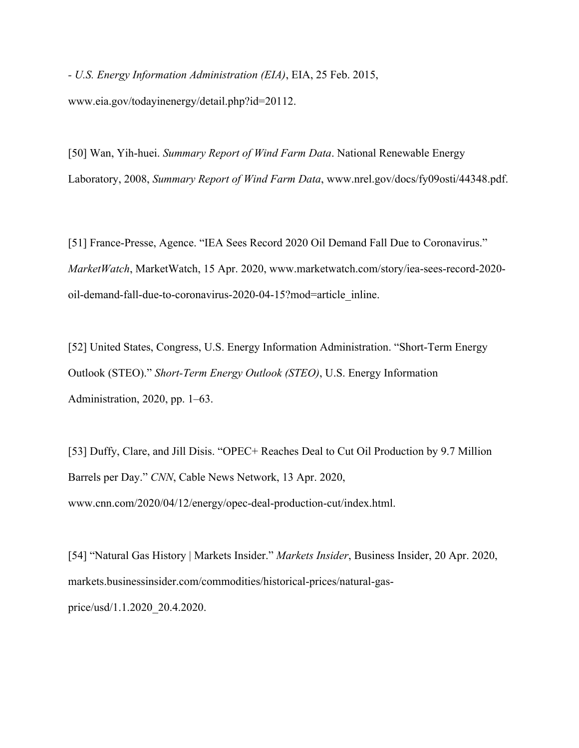*- U.S. Energy Information Administration (EIA)*, EIA, 25 Feb. 2015, www.eia.gov/todayinenergy/detail.php?id=20112.

[50] Wan, Yih-huei. *Summary Report of Wind Farm Data*. National Renewable Energy Laboratory, 2008, *Summary Report of Wind Farm Data*, www.nrel.gov/docs/fy09osti/44348.pdf.

[51] France-Presse, Agence. "IEA Sees Record 2020 Oil Demand Fall Due to Coronavirus." *MarketWatch*, MarketWatch, 15 Apr. 2020, www.marketwatch.com/story/iea-sees-record-2020 oil-demand-fall-due-to-coronavirus-2020-04-15?mod=article\_inline.

[52] United States, Congress, U.S. Energy Information Administration. "Short-Term Energy Outlook (STEO)." *Short-Term Energy Outlook (STEO)*, U.S. Energy Information Administration, 2020, pp. 1–63.

[53] Duffy, Clare, and Jill Disis. "OPEC+ Reaches Deal to Cut Oil Production by 9.7 Million Barrels per Day." *CNN*, Cable News Network, 13 Apr. 2020, www.cnn.com/2020/04/12/energy/opec-deal-production-cut/index.html.

[54] "Natural Gas History | Markets Insider." *Markets Insider*, Business Insider, 20 Apr. 2020, markets.businessinsider.com/commodities/historical-prices/natural-gasprice/usd/1.1.2020\_20.4.2020.